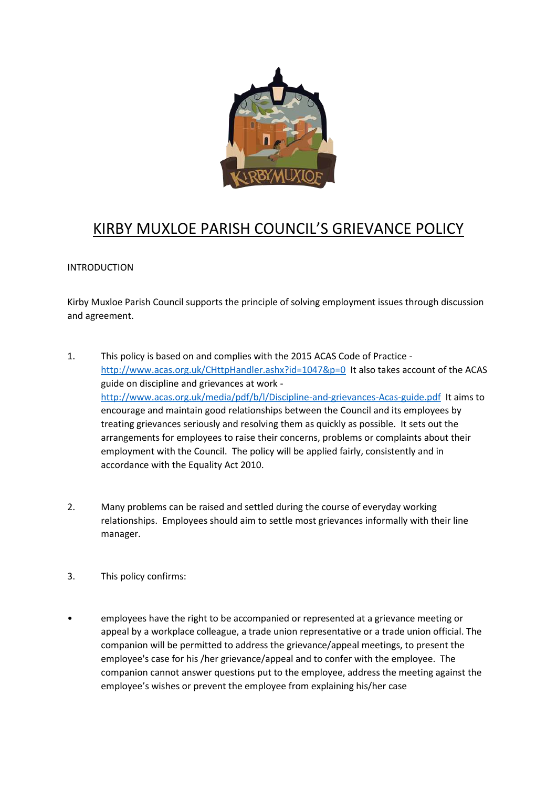

# KIRBY MUXLOE PARISH COUNCIL'S GRIEVANCE POLICY

# INTRODUCTION

Kirby Muxloe Parish Council supports the principle of solving employment issues through discussion and agreement.

- 1. This policy is based on and complies with the 2015 ACAS Code of Practice <http://www.acas.org.uk/CHttpHandler.ashx?id=1047&p=0>It also takes account of the ACAS guide on discipline and grievances at work <http://www.acas.org.uk/media/pdf/b/l/Discipline-and-grievances-Acas-guide.pdf>It aims to encourage and maintain good relationships between the Council and its employees by treating grievances seriously and resolving them as quickly as possible. It sets out the arrangements for employees to raise their concerns, problems or complaints about their employment with the Council. The policy will be applied fairly, consistently and in accordance with the Equality Act 2010.
- 2. Many problems can be raised and settled during the course of everyday working relationships. Employees should aim to settle most grievances informally with their line manager.
- 3. This policy confirms:
- employees have the right to be accompanied or represented at a grievance meeting or appeal by a workplace colleague, a trade union representative or a trade union official. The companion will be permitted to address the grievance/appeal meetings, to present the employee's case for his /her grievance/appeal and to confer with the employee. The companion cannot answer questions put to the employee, address the meeting against the employee's wishes or prevent the employee from explaining his/her case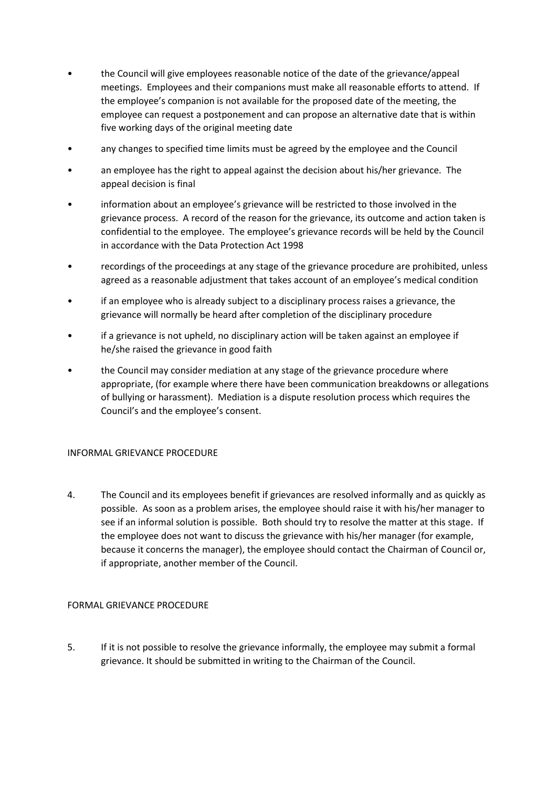- the Council will give employees reasonable notice of the date of the grievance/appeal meetings. Employees and their companions must make all reasonable efforts to attend. If the employee's companion is not available for the proposed date of the meeting, the employee can request a postponement and can propose an alternative date that is within five working days of the original meeting date
- any changes to specified time limits must be agreed by the employee and the Council
- an employee has the right to appeal against the decision about his/her grievance. The appeal decision is final
- information about an employee's grievance will be restricted to those involved in the grievance process. A record of the reason for the grievance, its outcome and action taken is confidential to the employee. The employee's grievance records will be held by the Council in accordance with the Data Protection Act 1998
- recordings of the proceedings at any stage of the grievance procedure are prohibited, unless agreed as a reasonable adjustment that takes account of an employee's medical condition
- if an employee who is already subject to a disciplinary process raises a grievance, the grievance will normally be heard after completion of the disciplinary procedure
- if a grievance is not upheld, no disciplinary action will be taken against an employee if he/she raised the grievance in good faith
- the Council may consider mediation at any stage of the grievance procedure where appropriate, (for example where there have been communication breakdowns or allegations of bullying or harassment). Mediation is a dispute resolution process which requires the Council's and the employee's consent.

# INFORMAL GRIEVANCE PROCEDURE

4. The Council and its employees benefit if grievances are resolved informally and as quickly as possible. As soon as a problem arises, the employee should raise it with his/her manager to see if an informal solution is possible. Both should try to resolve the matter at this stage. If the employee does not want to discuss the grievance with his/her manager (for example, because it concerns the manager), the employee should contact the Chairman of Council or, if appropriate, another member of the Council.

# FORMAL GRIEVANCE PROCEDURE

5. If it is not possible to resolve the grievance informally, the employee may submit a formal grievance. It should be submitted in writing to the Chairman of the Council.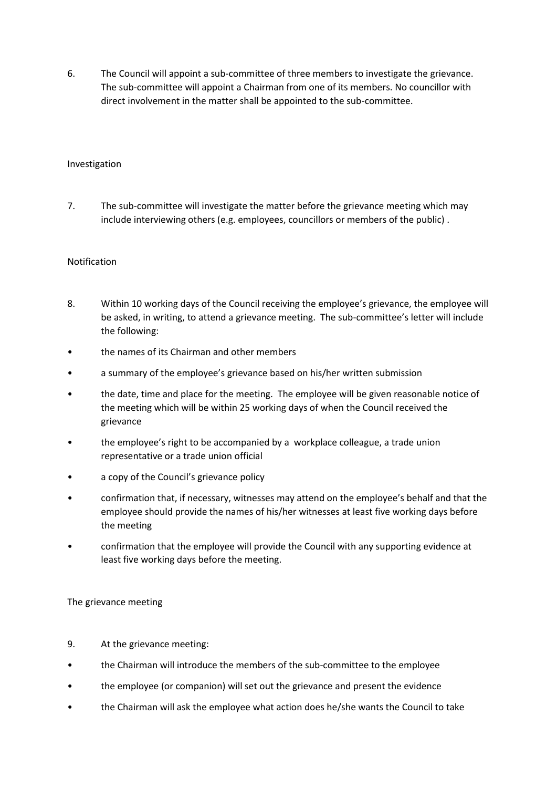6. The Council will appoint a sub-committee of three members to investigate the grievance. The sub-committee will appoint a Chairman from one of its members. No councillor with direct involvement in the matter shall be appointed to the sub-committee.

### Investigation

7. The sub-committee will investigate the matter before the grievance meeting which may include interviewing others (e.g. employees, councillors or members of the public) .

#### Notification

- 8. Within 10 working days of the Council receiving the employee's grievance, the employee will be asked, in writing, to attend a grievance meeting. The sub-committee's letter will include the following:
- the names of its Chairman and other members
- a summary of the employee's grievance based on his/her written submission
- the date, time and place for the meeting. The employee will be given reasonable notice of the meeting which will be within 25 working days of when the Council received the grievance
- the employee's right to be accompanied by a workplace colleague, a trade union representative or a trade union official
- a copy of the Council's grievance policy
- confirmation that, if necessary, witnesses may attend on the employee's behalf and that the employee should provide the names of his/her witnesses at least five working days before the meeting
- confirmation that the employee will provide the Council with any supporting evidence at least five working days before the meeting.

#### The grievance meeting

- 9. At the grievance meeting:
- the Chairman will introduce the members of the sub-committee to the employee
- the employee (or companion) will set out the grievance and present the evidence
- the Chairman will ask the employee what action does he/she wants the Council to take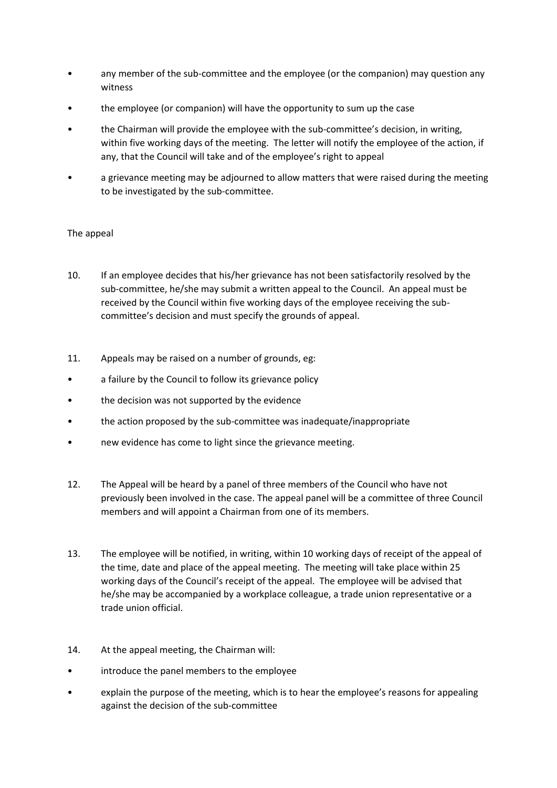- any member of the sub-committee and the employee (or the companion) may question any witness
- the employee (or companion) will have the opportunity to sum up the case
- the Chairman will provide the employee with the sub-committee's decision, in writing, within five working days of the meeting. The letter will notify the employee of the action, if any, that the Council will take and of the employee's right to appeal
- a grievance meeting may be adjourned to allow matters that were raised during the meeting to be investigated by the sub-committee.

# The appeal

- 10. If an employee decides that his/her grievance has not been satisfactorily resolved by the sub-committee, he/she may submit a written appeal to the Council. An appeal must be received by the Council within five working days of the employee receiving the subcommittee's decision and must specify the grounds of appeal.
- 11. Appeals may be raised on a number of grounds, eg:
- a failure by the Council to follow its grievance policy
- the decision was not supported by the evidence
- the action proposed by the sub-committee was inadequate/inappropriate
- new evidence has come to light since the grievance meeting.
- 12. The Appeal will be heard by a panel of three members of the Council who have not previously been involved in the case. The appeal panel will be a committee of three Council members and will appoint a Chairman from one of its members.
- 13. The employee will be notified, in writing, within 10 working days of receipt of the appeal of the time, date and place of the appeal meeting. The meeting will take place within 25 working days of the Council's receipt of the appeal. The employee will be advised that he/she may be accompanied by a workplace colleague, a trade union representative or a trade union official.
- 14. At the appeal meeting, the Chairman will:
- introduce the panel members to the employee
- explain the purpose of the meeting, which is to hear the employee's reasons for appealing against the decision of the sub-committee